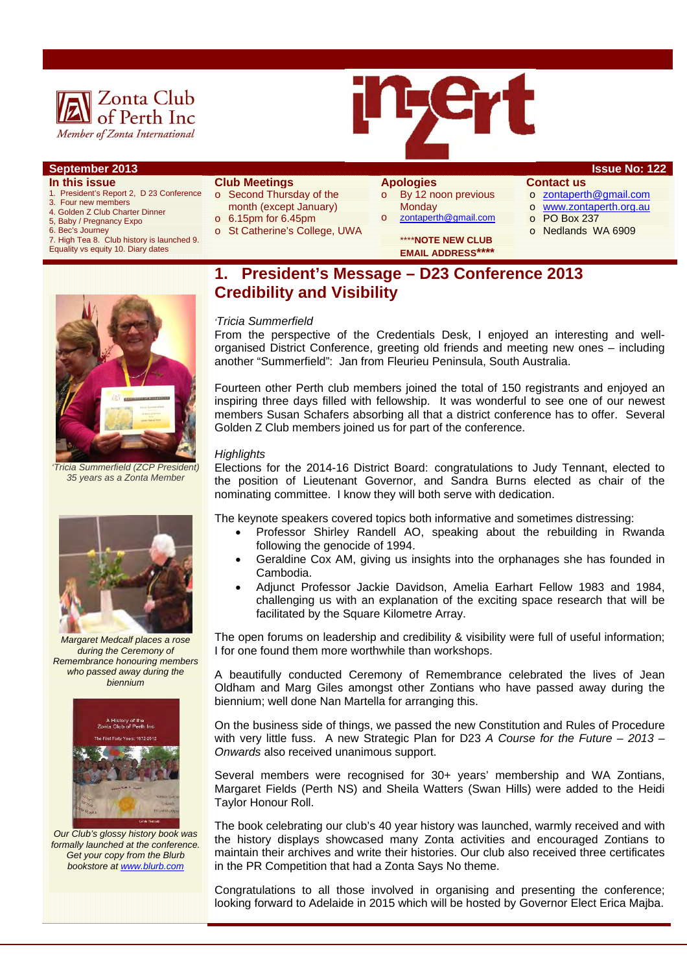

### **September 2013 ISSUE No: 122**

#### **In this issue**

- 1. President's Report 2, D 23 Conference
- 3. Four new members 4. Golden Z Club Charter Dinner
- 5, Baby / Pregnancy Expo
- 6. Bec's Journey
- 7. High Tea 8. Club history is launched 9.
- Equality vs equity 10. Diary dates
- **Club Meetings**  o Second Thursday of the month (except January)
- o 6.15pm for 6.45pm
- o St Catherine's College, UWA

## **Apologies**

- o By 12 noon previous **Monday** o zontaperth@gmail.com
- 
- \*\*\*\***NOTE NEW CLUB EMAIL ADDRESS\*\*\*\***

## **Contact us**

- o zontaperth@gmail.com
- o www.zontaperth.org.au
- o PO Box 237
- o Nedlands WA 6909



From the perspective of the Credentials Desk, I enjoyed an interesting and wellorganised District Conference, greeting old friends and meeting new ones – including another "Summerfield": Jan from Fleurieu Peninsula, South Australia.

Fourteen other Perth club members joined the total of 150 registrants and enjoyed an inspiring three days filled with fellowship. It was wonderful to see one of our newest members Susan Schafers absorbing all that a district conference has to offer. Several Golden Z Club members joined us for part of the conference.

#### *Highlights*

Elections for the 2014-16 District Board: congratulations to Judy Tennant, elected to the position of Lieutenant Governor, and Sandra Burns elected as chair of the nominating committee. I know they will both serve with dedication.

The keynote speakers covered topics both informative and sometimes distressing:

- Professor Shirley Randell AO, speaking about the rebuilding in Rwanda following the genocide of 1994.
- Geraldine Cox AM, giving us insights into the orphanages she has founded in Cambodia.
- Adjunct Professor Jackie Davidson, Amelia Earhart Fellow 1983 and 1984, challenging us with an explanation of the exciting space research that will be facilitated by the Square Kilometre Array.

The open forums on leadership and credibility & visibility were full of useful information; I for one found them more worthwhile than workshops.

A beautifully conducted Ceremony of Remembrance celebrated the lives of Jean Oldham and Marg Giles amongst other Zontians who have passed away during the biennium; well done Nan Martella for arranging this.

On the business side of things, we passed the new Constitution and Rules of Procedure with very little fuss. A new Strategic Plan for D23 *A Course for the Future – 2013 – Onwards* also received unanimous support.

Several members were recognised for 30+ years' membership and WA Zontians, Margaret Fields (Perth NS) and Sheila Watters (Swan Hills) were added to the Heidi Taylor Honour Roll.

The book celebrating our club's 40 year history was launched, warmly received and with the history displays showcased many Zonta activities and encouraged Zontians to maintain their archives and write their histories. Our club also received three certificates in the PR Competition that had a Zonta Says No theme.

Congratulations to all those involved in organising and presenting the conference; looking forward to Adelaide in 2015 which will be hosted by Governor Elect Erica Majba.



*35 years as a Zonta Member* 



*Margaret Medcalf places a rose during the Ceremony of Remembrance honouring members who passed away during the biennium* 



*Our Club's glossy history book was formally launched at the conference. Get your copy from the Blurb bookstore at www.blurb.com*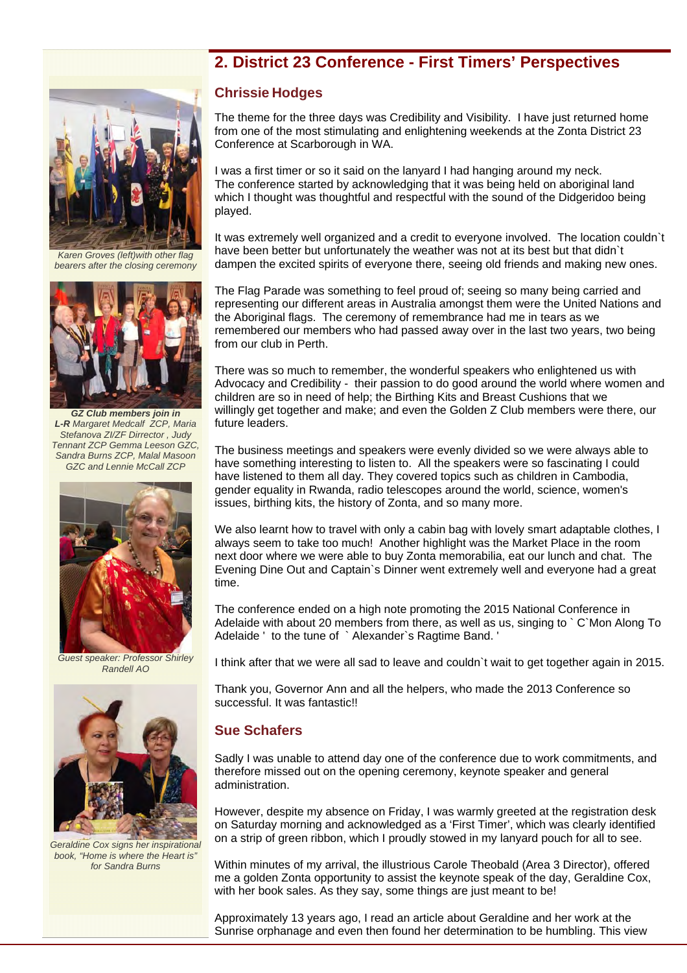## **2. District 23 Conference - First Timers' Perspectives**



*Karen Groves (left)with other flag bearers after the closing ceremony* 



*GZ Club members join in L-R Margaret Medcalf ZCP, Maria Stefanova ZI/ZF Dirrector , Judy Tennant ZCP Gemma Leeson GZC, Sandra Burns ZCP, Malal Masoon GZC and Lennie McCall ZCP* 



*Guest speaker: Professor Shirley Randell AO* 



*Geraldine Cox signs her inspirational book, "Home is where the Heart is" for Sandra Burns* 

### **Chrissie Hodges**

The theme for the three days was Credibility and Visibility. I have just returned home from one of the most stimulating and enlightening weekends at the Zonta District 23 Conference at Scarborough in WA.

I was a first timer or so it said on the lanyard I had hanging around my neck. The conference started by acknowledging that it was being held on aboriginal land which I thought was thoughtful and respectful with the sound of the Didgeridoo being played.

It was extremely well organized and a credit to everyone involved. The location couldn`t have been better but unfortunately the weather was not at its best but that didn`t dampen the excited spirits of everyone there, seeing old friends and making new ones.

The Flag Parade was something to feel proud of; seeing so many being carried and representing our different areas in Australia amongst them were the United Nations and the Aboriginal flags. The ceremony of remembrance had me in tears as we remembered our members who had passed away over in the last two years, two being from our club in Perth.

There was so much to remember, the wonderful speakers who enlightened us with Advocacy and Credibility - their passion to do good around the world where women and children are so in need of help; the Birthing Kits and Breast Cushions that we willingly get together and make; and even the Golden Z Club members were there, our future leaders.

The business meetings and speakers were evenly divided so we were always able to have something interesting to listen to. All the speakers were so fascinating I could have listened to them all day. They covered topics such as children in Cambodia, gender equality in Rwanda, radio telescopes around the world, science, women's issues, birthing kits, the history of Zonta, and so many more.

We also learnt how to travel with only a cabin bag with lovely smart adaptable clothes, I always seem to take too much! Another highlight was the Market Place in the room next door where we were able to buy Zonta memorabilia, eat our lunch and chat. The Evening Dine Out and Captain`s Dinner went extremely well and everyone had a great time.

The conference ended on a high note promoting the 2015 National Conference in Adelaide with about 20 members from there, as well as us, singing to ` C`Mon Along To Adelaide ' to the tune of ` Alexander`s Ragtime Band. '

I think after that we were all sad to leave and couldn`t wait to get together again in 2015.

Thank you, Governor Ann and all the helpers, who made the 2013 Conference so successful. It was fantastic!!

### **Sue Schafers**

Sadly I was unable to attend day one of the conference due to work commitments, and therefore missed out on the opening ceremony, keynote speaker and general administration.

However, despite my absence on Friday, I was warmly greeted at the registration desk on Saturday morning and acknowledged as a 'First Timer', which was clearly identified on a strip of green ribbon, which I proudly stowed in my lanyard pouch for all to see.

Within minutes of my arrival, the illustrious Carole Theobald (Area 3 Director), offered me a golden Zonta opportunity to assist the keynote speak of the day, Geraldine Cox, with her book sales. As they say, some things are just meant to be!

Approximately 13 years ago, I read an article about Geraldine and her work at the Sunrise orphanage and even then found her determination to be humbling. This view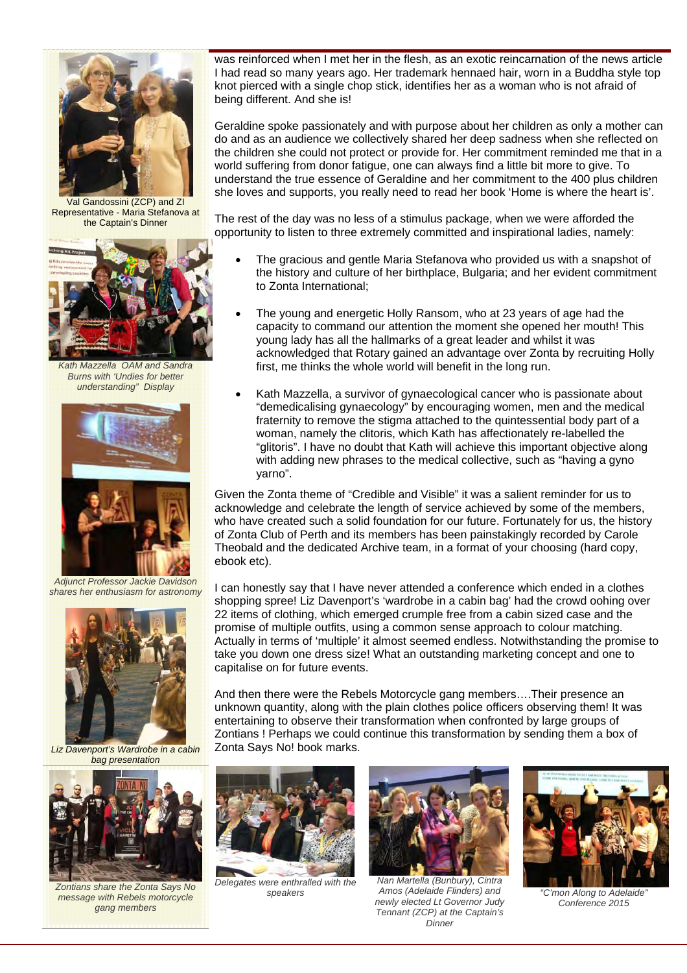

Val Gandossini (ZCP) and ZI Representative - Maria Stefanova at the Captain's Dinner



*Kath Mazzella OAM and Sandra Burns with 'Undies for better understanding" Display* 





*Adjunct Professor Jackie Davidson shares her enthusiasm for astronomy* 



*Liz Davenport's Wardrobe in a cabin bag presentation* 



*Zontians share the Zonta Says No message with Rebels motorcycle gang members* 

was reinforced when I met her in the flesh, as an exotic reincarnation of the news article I had read so many years ago. Her trademark hennaed hair, worn in a Buddha style top knot pierced with a single chop stick, identifies her as a woman who is not afraid of being different. And she is!

Geraldine spoke passionately and with purpose about her children as only a mother can do and as an audience we collectively shared her deep sadness when she reflected on the children she could not protect or provide for. Her commitment reminded me that in a world suffering from donor fatigue, one can always find a little bit more to give. To understand the true essence of Geraldine and her commitment to the 400 plus children she loves and supports, you really need to read her book 'Home is where the heart is'.

The rest of the day was no less of a stimulus package, when we were afforded the opportunity to listen to three extremely committed and inspirational ladies, namely:

- The gracious and gentle Maria Stefanova who provided us with a snapshot of the history and culture of her birthplace, Bulgaria; and her evident commitment to Zonta International;
- The young and energetic Holly Ransom, who at 23 years of age had the capacity to command our attention the moment she opened her mouth! This young lady has all the hallmarks of a great leader and whilst it was acknowledged that Rotary gained an advantage over Zonta by recruiting Holly first, me thinks the whole world will benefit in the long run.
- Kath Mazzella, a survivor of gynaecological cancer who is passionate about "demedicalising gynaecology" by encouraging women, men and the medical fraternity to remove the stigma attached to the quintessential body part of a woman, namely the clitoris, which Kath has affectionately re-labelled the "glitoris". I have no doubt that Kath will achieve this important objective along with adding new phrases to the medical collective, such as "having a gyno yarno".

Given the Zonta theme of "Credible and Visible" it was a salient reminder for us to acknowledge and celebrate the length of service achieved by some of the members, who have created such a solid foundation for our future. Fortunately for us, the history of Zonta Club of Perth and its members has been painstakingly recorded by Carole Theobald and the dedicated Archive team, in a format of your choosing (hard copy, ebook etc).

I can honestly say that I have never attended a conference which ended in a clothes shopping spree! Liz Davenport's 'wardrobe in a cabin bag' had the crowd oohing over 22 items of clothing, which emerged crumple free from a cabin sized case and the promise of multiple outfits, using a common sense approach to colour matching. Actually in terms of 'multiple' it almost seemed endless. Notwithstanding the promise to take you down one dress size! What an outstanding marketing concept and one to capitalise on for future events.

And then there were the Rebels Motorcycle gang members….Their presence an unknown quantity, along with the plain clothes police officers observing them! It was entertaining to observe their transformation when confronted by large groups of Zontians ! Perhaps we could continue this transformation by sending them a box of Zonta Says No! book marks.



*Delegates were enthralled with the speakers*



*Nan Martella (Bunbury), Cintra Amos (Adelaide Flinders) and newly elected Lt Governor Judy Tennant (ZCP) at the Captain's Dinner* 



*"C'mon Along to Adelaide" Conference 2015*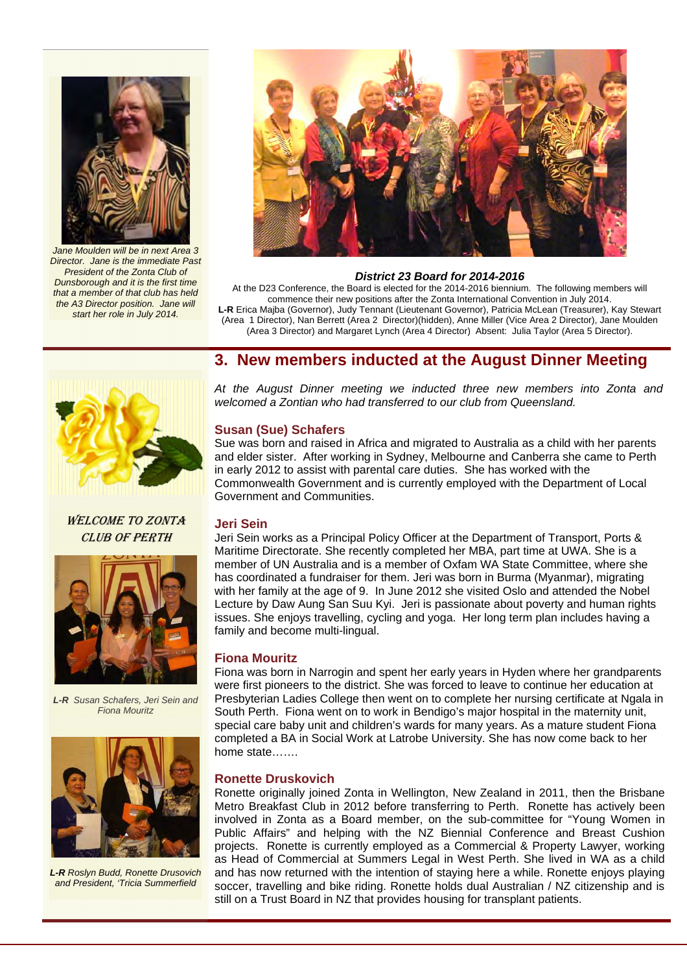

*Jane Moulden will be in next Area 3 Director. Jane is the immediate Past President of the Zonta Club of Dunsborough and it is the first time that a member of that club has held the A3 Director position. Jane will start her role in July 2014.* 



#### *District 23 Board for 2014-2016*

At the D23 Conference, the Board is elected for the 2014-2016 biennium. The following members will commence their new positions after the Zonta International Convention in July 2014. **L-R** Erica Majba (Governor), Judy Tennant (Lieutenant Governor), Patricia McLean (Treasurer), Kay Stewart (Area 1 Director), Nan Berrett (Area 2 Director)(hidden), Anne Miller (Vice Area 2 Director), Jane Moulden (Area 3 Director) and Margaret Lynch (Area 4 Director) Absent: Julia Taylor (Area 5 Director).

**3. New members inducted at the August Dinner Meeting** 



WELCOME TO ZONTA CLUB OF PERTH



*L-R Susan Schafers, Jeri Sein and Fiona Mouritz* 



*L-R Roslyn Budd, Ronette Drusovich and President, 'Tricia Summerfield* 

# *At the August Dinner meeting we inducted three new members into Zonta and*

*welcomed a Zontian who had transferred to our club from Queensland.* 

#### **Susan (Sue) Schafers**

Sue was born and raised in Africa and migrated to Australia as a child with her parents and elder sister. After working in Sydney, Melbourne and Canberra she came to Perth in early 2012 to assist with parental care duties. She has worked with the Commonwealth Government and is currently employed with the Department of Local Government and Communities.

#### **Jeri Sein**

Jeri Sein works as a Principal Policy Officer at the Department of Transport, Ports & Maritime Directorate. She recently completed her MBA, part time at UWA. She is a member of UN Australia and is a member of Oxfam WA State Committee, where she has coordinated a fundraiser for them. Jeri was born in Burma (Myanmar), migrating with her family at the age of 9. In June 2012 she visited Oslo and attended the Nobel Lecture by Daw Aung San Suu Kyi. Jeri is passionate about poverty and human rights issues. She enjoys travelling, cycling and yoga. Her long term plan includes having a family and become multi-lingual.

#### **Fiona Mouritz**

Fiona was born in Narrogin and spent her early years in Hyden where her grandparents were first pioneers to the district. She was forced to leave to continue her education at Presbyterian Ladies College then went on to complete her nursing certificate at Ngala in South Perth. Fiona went on to work in Bendigo's major hospital in the maternity unit, special care baby unit and children's wards for many years. As a mature student Fiona completed a BA in Social Work at Latrobe University. She has now come back to her home state…….

#### **Ronette Druskovich**

Ronette originally joined Zonta in Wellington, New Zealand in 2011, then the Brisbane Metro Breakfast Club in 2012 before transferring to Perth. Ronette has actively been involved in Zonta as a Board member, on the sub-committee for "Young Women in Public Affairs" and helping with the NZ Biennial Conference and Breast Cushion projects. Ronette is currently employed as a Commercial & Property Lawyer, working as Head of Commercial at Summers Legal in West Perth. She lived in WA as a child and has now returned with the intention of staying here a while. Ronette enjoys playing soccer, travelling and bike riding. Ronette holds dual Australian / NZ citizenship and is still on a Trust Board in NZ that provides housing for transplant patients.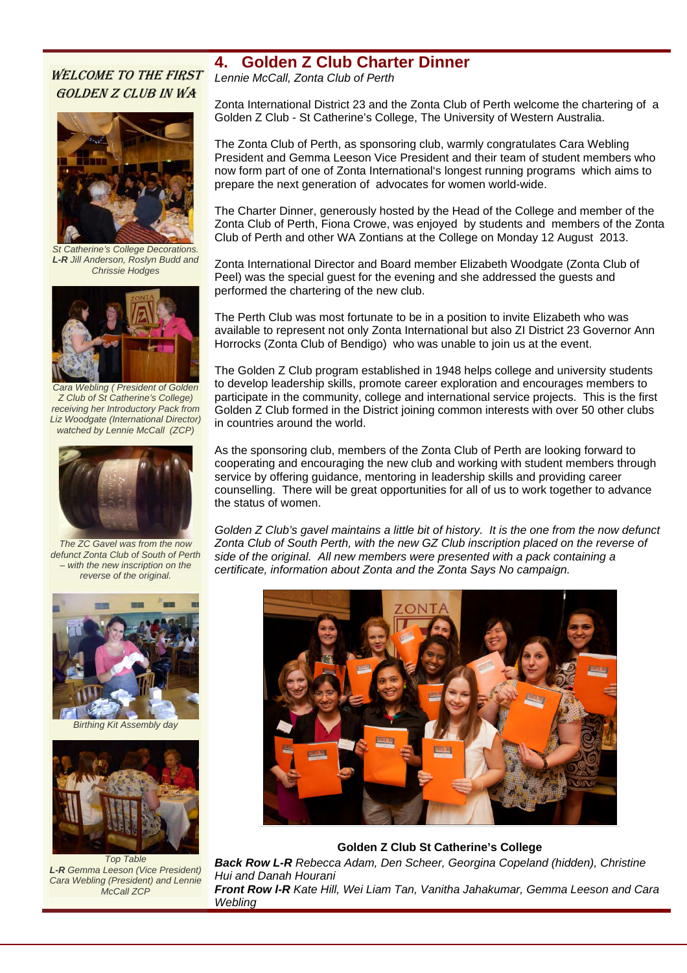## **4. Golden Z Club Charter Dinner**

## WELCOME TO THE FIRST GOLDEN Z CLUB IN WA



*St Catherine's College Decorations. L-R Jill Anderson, Roslyn Budd and Chrissie Hodges* 



*Cara Webling ( President of Golden Z Club of St Catherine's College) receiving her Introductory Pack from Liz Woodgate (International Director) watched by Lennie McCall (ZCP)* 



*The ZC Gavel was from the now defunct Zonta Club of South of Perth – with the new inscription on the reverse of the original.* 



*Birthing Kit Assembly day* 



*Top Table L-R Gemma Leeson (Vice President) Cara Webling (President) and Lennie McCall ZCP* 

*Lennie McCall, Zonta Club of Perth* 

Zonta International District 23 and the Zonta Club of Perth welcome the chartering of a Golden Z Club - St Catherine's College, The University of Western Australia.

The Zonta Club of Perth, as sponsoring club, warmly congratulates Cara Webling President and Gemma Leeson Vice President and their team of student members who now form part of one of Zonta International's longest running programs which aims to prepare the next generation of advocates for women world-wide.

The Charter Dinner, generously hosted by the Head of the College and member of the Zonta Club of Perth, Fiona Crowe, was enjoyed by students and members of the Zonta Club of Perth and other WA Zontians at the College on Monday 12 August 2013.

Zonta International Director and Board member Elizabeth Woodgate (Zonta Club of Peel) was the special guest for the evening and she addressed the guests and performed the chartering of the new club.

The Perth Club was most fortunate to be in a position to invite Elizabeth who was available to represent not only Zonta International but also ZI District 23 Governor Ann Horrocks (Zonta Club of Bendigo) who was unable to join us at the event.

The Golden Z Club program established in 1948 helps college and university students to develop leadership skills, promote career exploration and encourages members to participate in the community, college and international service projects. This is the first Golden Z Club formed in the District joining common interests with over 50 other clubs in countries around the world.

As the sponsoring club, members of the Zonta Club of Perth are looking forward to cooperating and encouraging the new club and working with student members through service by offering guidance, mentoring in leadership skills and providing career counselling. There will be great opportunities for all of us to work together to advance the status of women.

*Golden Z Club's gavel maintains a little bit of history. It is the one from the now defunct Zonta Club of South Perth, with the new GZ Club inscription placed on the reverse of side of the original. All new members were presented with a pack containing a certificate, information about Zonta and the Zonta Says No campaign.* 



**Golden Z Club St Catherine's College** 

*Back Row L-R Rebecca Adam, Den Scheer, Georgina Copeland (hidden), Christine Hui and Danah Hourani Front Row l-R Kate Hill, Wei Liam Tan, Vanitha Jahakumar, Gemma Leeson and Cara Webling*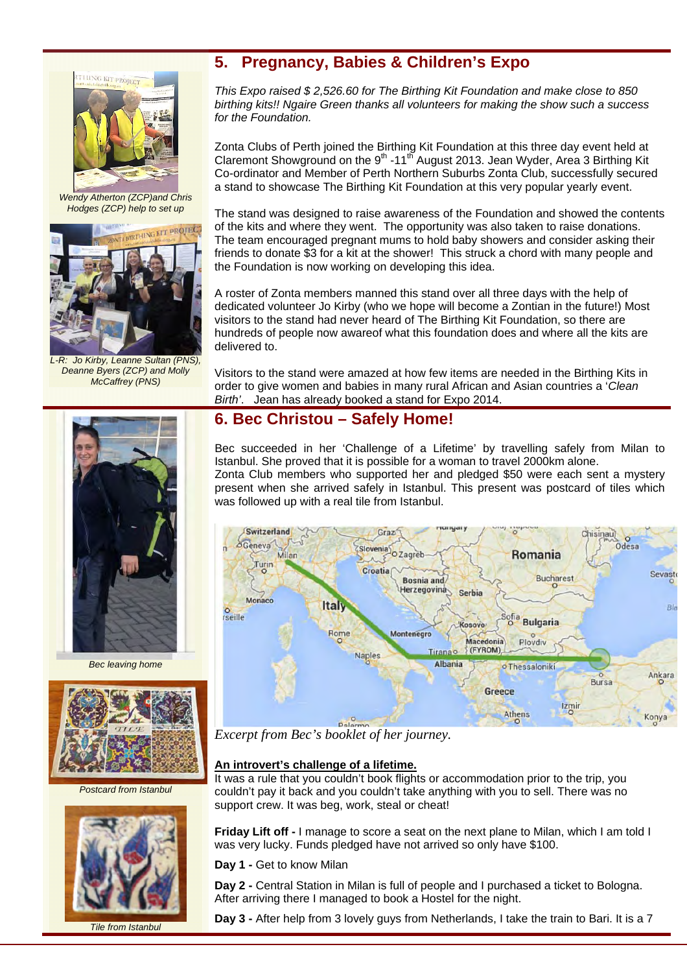

*Wendy Atherton (ZCP)and Chris Hodges (ZCP) help to set up* 



**Jo Kirby, Leanne Sultan (PNS),** *Deanne Byers (ZCP) and Molly McCaffrey (PNS)* 



*Bec leaving home* 



*Postcard from Istanbul* 



*Tile from Istanbul* 

## **5. Pregnancy, Babies & Children's Expo**

*This Expo raised \$ 2,526.60 for The Birthing Kit Foundation and make close to 850 birthing kits!! Ngaire Green thanks all volunteers for making the show such a success for the Foundation.* 

Zonta Clubs of Perth joined the Birthing Kit Foundation at this three day event held at Claremont Showground on the 9<sup>th</sup> -11<sup>th</sup> August 2013. Jean Wyder, Area 3 Birthing Kit Co-ordinator and Member of Perth Northern Suburbs Zonta Club, successfully secured a stand to showcase The Birthing Kit Foundation at this very popular yearly event.

The stand was designed to raise awareness of the Foundation and showed the contents of the kits and where they went. The opportunity was also taken to raise donations. The team encouraged pregnant mums to hold baby showers and consider asking their friends to donate \$3 for a kit at the shower! This struck a chord with many people and the Foundation is now working on developing this idea.

A roster of Zonta members manned this stand over all three days with the help of dedicated volunteer Jo Kirby (who we hope will become a Zontian in the future!) Most visitors to the stand had never heard of The Birthing Kit Foundation, so there are hundreds of people now awareof what this foundation does and where all the kits are delivered to.

Visitors to the stand were amazed at how few items are needed in the Birthing Kits in order to give women and babies in many rural African and Asian countries a '*Clean Birth'*. Jean has already booked a stand for Expo 2014.

### **6. Bec Christou – Safely Home!**

Bec succeeded in her 'Challenge of a Lifetime' by travelling safely from Milan to Istanbul. She proved that it is possible for a woman to travel 2000km alone. Zonta Club members who supported her and pledged \$50 were each sent a mystery present when she arrived safely in Istanbul. This present was postcard of tiles which was followed up with a real tile from Istanbul.



*Excerpt from Bec's booklet of her journey.* 

#### **An introvert's challenge of a lifetime.**

It was a rule that you couldn't book flights or accommodation prior to the trip, you couldn't pay it back and you couldn't take anything with you to sell. There was no support crew. It was beg, work, steal or cheat!

**Friday Lift off -** I manage to score a seat on the next plane to Milan, which I am told I was very lucky. Funds pledged have not arrived so only have \$100.

**Day 1 -** Get to know Milan

**Day 2 -** Central Station in Milan is full of people and I purchased a ticket to Bologna. After arriving there I managed to book a Hostel for the night.

**Day 3 -** After help from 3 lovely guys from Netherlands, I take the train to Bari. It is a 7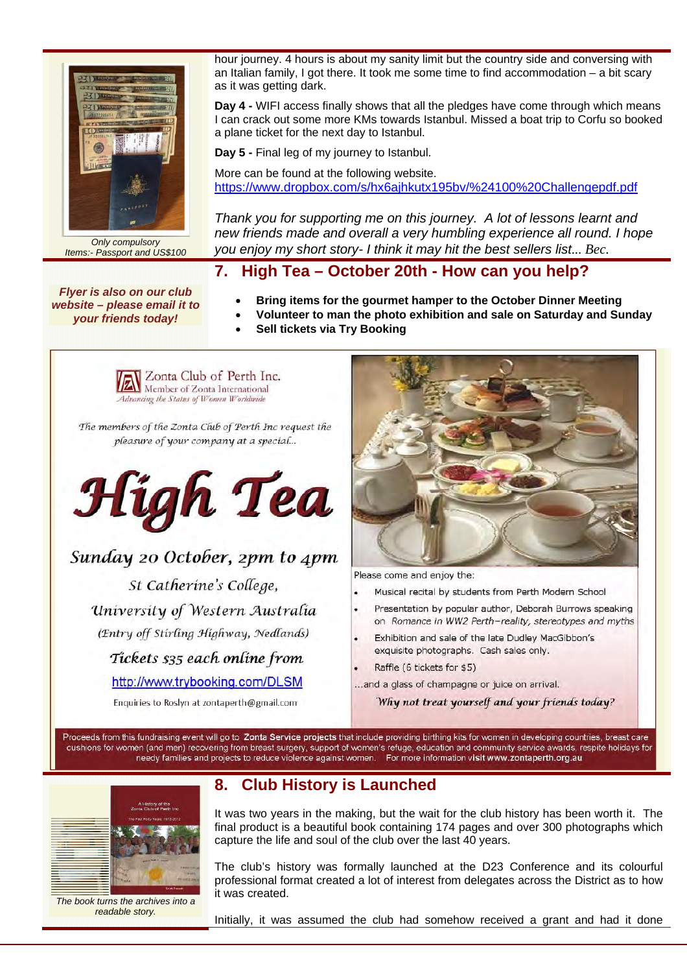

*Only compulsory Items:- Passport and US\$100* 

hour journey. 4 hours is about my sanity limit but the country side and conversing with an Italian family, I got there. It took me some time to find accommodation – a bit scary as it was getting dark.

**Day 4 -** WIFI access finally shows that all the pledges have come through which means I can crack out some more KMs towards Istanbul. Missed a boat trip to Corfu so booked a plane ticket for the next day to Istanbul.

**Day 5 -** Final leg of my journey to Istanbul.

More can be found at the following website. https://www.dropbox.com/s/hx6ajhkutx195bv/%24100%20Challengepdf.pdf

*Thank you for supporting me on this journey. A lot of lessons learnt and new friends made and overall a very humbling experience all round. I hope you enjoy my short story- I think it may hit the best sellers list... Bec.* 

## **7. High Tea – October 20th - How can you help?**

*Flyer is also on our club website – please email it to your friends today!*

- **Bring items for the gourmet hamper to the October Dinner Meeting**
- **Volunteer to man the photo exhibition and sale on Saturday and Sunday**
- **Sell tickets via Try Booking**



The members of the Zonta Club of Perth Inc request the pleasure of your company at a special...



Sunday 20 October, 2pm to 4pm St Catherine's College,

University of Western Australia (Entry off Stirling Highway, Nedlands) Tickets \$35 each online from

http://www.trybooking.com/DLSM

Enquiries to Roslyn at zontaperth@gmail.com



Please come and enjoy the:

- Musical recital by students from Perth Modern School
- Presentation by popular author, Deborah Burrows speaking on Romance in WW2 Perth-reality, stereotypes and myths
- Exhibition and sale of the late Dudley MacGibbon's exquisite photographs. Cash sales only.
- Raffle (6 tickets for \$5)

... and a glass of champagne or juice on arrival.

Why not treat yourself and your friends today?

Proceeds from this fundraising event will go to Zonta Service projects that include providing birthing kits for women in developing countries, breast care cushions for women (and men) recovering from breast surgery, support of women's refuge, education and community service awards, respite holidays for needy families and projects to reduce violence against women. For more information visit www.zontaperth.org.au



*The book turns the archives into a readable story.* 

## **8. Club History is Launched**

It was two years in the making, but the wait for the club history has been worth it. The final product is a beautiful book containing 174 pages and over 300 photographs which capture the life and soul of the club over the last 40 years.

The club's history was formally launched at the D23 Conference and its colourful professional format created a lot of interest from delegates across the District as to how it was created.

Initially, it was assumed the club had somehow received a grant and had it done